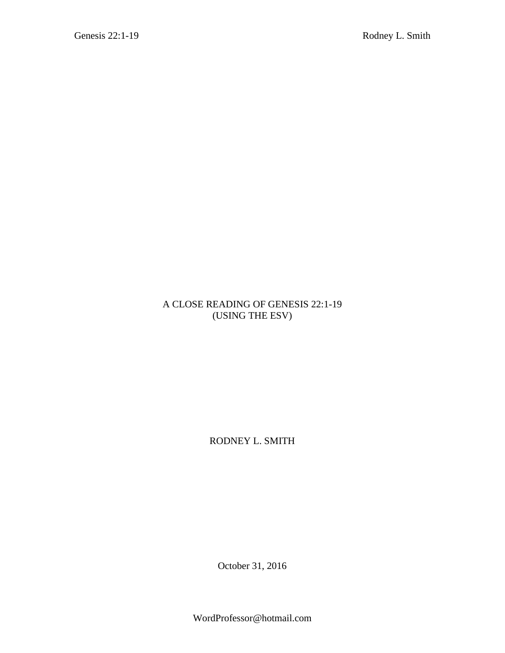## A CLOSE READING OF GENESIS 22:1-19 (USING THE ESV)

RODNEY L. SMITH

October 31, 2016

WordProfessor@hotmail.com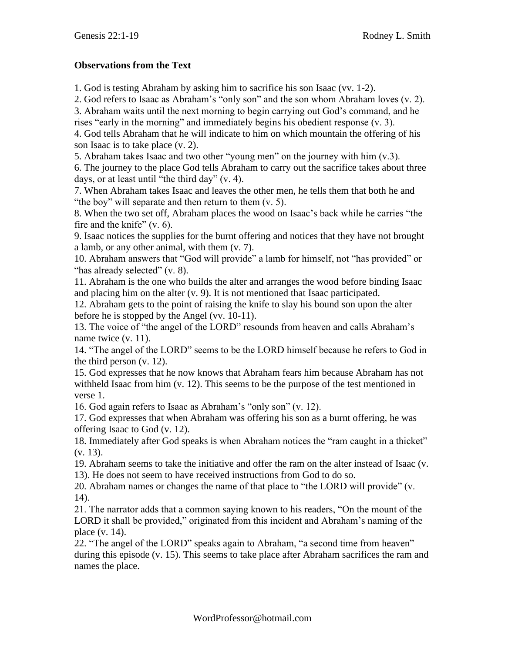## **Observations from the Text**

1. God is testing Abraham by asking him to sacrifice his son Isaac (vv. 1-2).

2. God refers to Isaac as Abraham's "only son" and the son whom Abraham loves (v. 2).

3. Abraham waits until the next morning to begin carrying out God's command, and he rises "early in the morning" and immediately begins his obedient response (v. 3).

4. God tells Abraham that he will indicate to him on which mountain the offering of his son Isaac is to take place (v. 2).

5. Abraham takes Isaac and two other "young men" on the journey with him (v.3).

6. The journey to the place God tells Abraham to carry out the sacrifice takes about three days, or at least until "the third day" (v. 4).

7. When Abraham takes Isaac and leaves the other men, he tells them that both he and "the boy" will separate and then return to them (v. 5).

8. When the two set off, Abraham places the wood on Isaac's back while he carries "the fire and the knife" (v. 6).

9. Isaac notices the supplies for the burnt offering and notices that they have not brought a lamb, or any other animal, with them (v. 7).

10. Abraham answers that "God will provide" a lamb for himself, not "has provided" or "has already selected" (v. 8).

11. Abraham is the one who builds the alter and arranges the wood before binding Isaac and placing him on the alter (v. 9). It is not mentioned that Isaac participated.

12. Abraham gets to the point of raising the knife to slay his bound son upon the alter before he is stopped by the Angel (vv. 10-11).

13. The voice of "the angel of the LORD" resounds from heaven and calls Abraham's name twice (v. 11).

14. "The angel of the LORD" seems to be the LORD himself because he refers to God in the third person (v. 12).

15. God expresses that he now knows that Abraham fears him because Abraham has not withheld Isaac from him (v. 12). This seems to be the purpose of the test mentioned in verse 1.

16. God again refers to Isaac as Abraham's "only son" (v. 12).

17. God expresses that when Abraham was offering his son as a burnt offering, he was offering Isaac to God (v. 12).

18. Immediately after God speaks is when Abraham notices the "ram caught in a thicket" (v. 13).

19. Abraham seems to take the initiative and offer the ram on the alter instead of Isaac (v. 13). He does not seem to have received instructions from God to do so.

20. Abraham names or changes the name of that place to "the LORD will provide" (v. 14).

21. The narrator adds that a common saying known to his readers, "On the mount of the LORD it shall be provided," originated from this incident and Abraham's naming of the place (v. 14).

22. "The angel of the LORD" speaks again to Abraham, "a second time from heaven" during this episode (v. 15). This seems to take place after Abraham sacrifices the ram and names the place.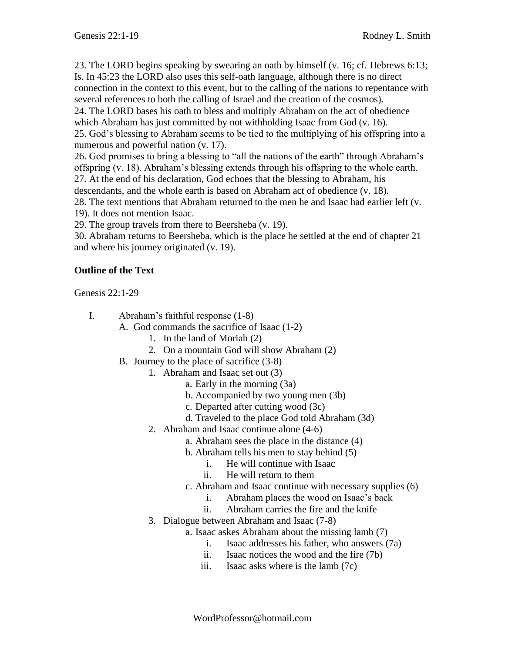23. The LORD begins speaking by swearing an oath by himself (v. 16; cf. Hebrews 6:13; Is. In 45:23 the LORD also uses this self-oath language, although there is no direct

connection in the context to this event, but to the calling of the nations to repentance with several references to both the calling of Israel and the creation of the cosmos).

24. The LORD bases his oath to bless and multiply Abraham on the act of obedience which Abraham has just committed by not withholding Isaac from God (v. 16).

25. God's blessing to Abraham seems to be tied to the multiplying of his offspring into a numerous and powerful nation (v. 17).

26. God promises to bring a blessing to "all the nations of the earth" through Abraham's offspring (v. 18). Abraham's blessing extends through his offspring to the whole earth.

27. At the end of his declaration, God echoes that the blessing to Abraham, his

descendants, and the whole earth is based on Abraham act of obedience (v. 18).

28. The text mentions that Abraham returned to the men he and Isaac had earlier left (v. 19). It does not mention Isaac.

29. The group travels from there to Beersheba (v. 19).

30. Abraham returns to Beersheba, which is the place he settled at the end of chapter 21 and where his journey originated (v. 19).

## **Outline of the Text**

Genesis 22:1-29

- I. Abraham's faithful response (1-8)
	- A. God commands the sacrifice of Isaac (1-2)
		- 1. In the land of Moriah (2)
		- 2. On a mountain God will show Abraham (2)
	- B. Journey to the place of sacrifice (3-8)
		- 1. Abraham and Isaac set out (3)
			- a. Early in the morning (3a)
			- b. Accompanied by two young men (3b)
			- c. Departed after cutting wood (3c)
			- d. Traveled to the place God told Abraham (3d)
		- 2. Abraham and Isaac continue alone (4-6)
			- a. Abraham sees the place in the distance (4)
			- b. Abraham tells his men to stay behind (5)
				- i. He will continue with Isaac
				- ii. He will return to them
			- c. Abraham and Isaac continue with necessary supplies (6)
				- i. Abraham places the wood on Isaac's back
				- ii. Abraham carries the fire and the knife
		- 3. Dialogue between Abraham and Isaac (7-8)
			- a. Isaac askes Abraham about the missing lamb (7)
				- i. Isaac addresses his father, who answers (7a)
				- ii. Isaac notices the wood and the fire (7b)
				- iii. Isaac asks where is the lamb (7c)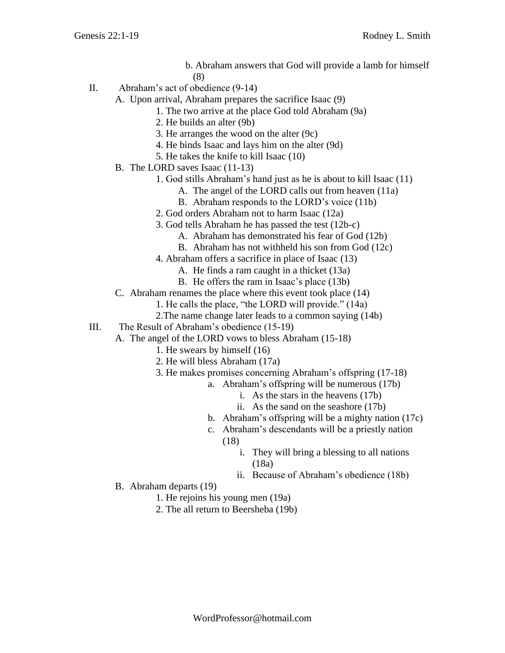- b. Abraham answers that God will provide a lamb for himself (8)
- II. Abraham's act of obedience (9-14)
	- A. Upon arrival, Abraham prepares the sacrifice Isaac (9)
		- 1. The two arrive at the place God told Abraham (9a)
		- 2. He builds an alter (9b)
		- 3. He arranges the wood on the alter (9c)
		- 4. He binds Isaac and lays him on the alter (9d)
		- 5. He takes the knife to kill Isaac (10)
	- B. The LORD saves Isaac (11-13)
		- 1. God stills Abraham's hand just as he is about to kill Isaac (11)
			- A. The angel of the LORD calls out from heaven (11a)
			- B. Abraham responds to the LORD's voice (11b)
		- 2. God orders Abraham not to harm Isaac (12a)
		- 3. God tells Abraham he has passed the test (12b-c)
			- A. Abraham has demonstrated his fear of God (12b)
			- B. Abraham has not withheld his son from God (12c)
		- 4. Abraham offers a sacrifice in place of Isaac (13)
			- A. He finds a ram caught in a thicket (13a)
			- B. He offers the ram in Isaac's place (13b)
	- C. Abraham renames the place where this event took place (14)
		- 1. He calls the place, "the LORD will provide." (14a)
		- 2.The name change later leads to a common saying (14b)
- III. The Result of Abraham's obedience (15-19)
	- A. The angel of the LORD vows to bless Abraham (15-18)
		- 1. He swears by himself (16)
		- 2. He will bless Abraham (17a)
		- 3. He makes promises concerning Abraham's offspring (17-18)
			- a. Abraham's offspring will be numerous (17b)
				- i. As the stars in the heavens (17b)
				- ii. As the sand on the seashore (17b)
			- b. Abraham's offspring will be a mighty nation (17c)
			- c. Abraham's descendants will be a priestly nation (18)
				- i. They will bring a blessing to all nations (18a)
				- ii. Because of Abraham's obedience (18b)
	- B. Abraham departs (19)
		- 1. He rejoins his young men (19a)
		- 2. The all return to Beersheba (19b)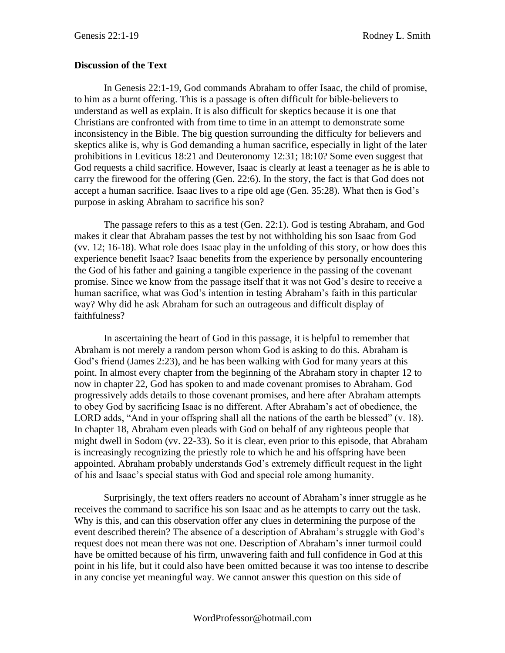## **Discussion of the Text**

In Genesis 22:1-19, God commands Abraham to offer Isaac, the child of promise, to him as a burnt offering. This is a passage is often difficult for bible-believers to understand as well as explain. It is also difficult for skeptics because it is one that Christians are confronted with from time to time in an attempt to demonstrate some inconsistency in the Bible. The big question surrounding the difficulty for believers and skeptics alike is, why is God demanding a human sacrifice, especially in light of the later prohibitions in Leviticus 18:21 and Deuteronomy 12:31; 18:10? Some even suggest that God requests a child sacrifice. However, Isaac is clearly at least a teenager as he is able to carry the firewood for the offering (Gen. 22:6). In the story, the fact is that God does not accept a human sacrifice. Isaac lives to a ripe old age (Gen. 35:28). What then is God's purpose in asking Abraham to sacrifice his son?

The passage refers to this as a test (Gen. 22:1). God is testing Abraham, and God makes it clear that Abraham passes the test by not withholding his son Isaac from God (vv. 12; 16-18). What role does Isaac play in the unfolding of this story, or how does this experience benefit Isaac? Isaac benefits from the experience by personally encountering the God of his father and gaining a tangible experience in the passing of the covenant promise. Since we know from the passage itself that it was not God's desire to receive a human sacrifice, what was God's intention in testing Abraham's faith in this particular way? Why did he ask Abraham for such an outrageous and difficult display of faithfulness?

In ascertaining the heart of God in this passage, it is helpful to remember that Abraham is not merely a random person whom God is asking to do this. Abraham is God's friend (James 2:23), and he has been walking with God for many years at this point. In almost every chapter from the beginning of the Abraham story in chapter 12 to now in chapter 22, God has spoken to and made covenant promises to Abraham. God progressively adds details to those covenant promises, and here after Abraham attempts to obey God by sacrificing Isaac is no different. After Abraham's act of obedience, the LORD adds, "And in your offspring shall all the nations of the earth be blessed" (v. 18). In chapter 18, Abraham even pleads with God on behalf of any righteous people that might dwell in Sodom (vv. 22-33). So it is clear, even prior to this episode, that Abraham is increasingly recognizing the priestly role to which he and his offspring have been appointed. Abraham probably understands God's extremely difficult request in the light of his and Isaac's special status with God and special role among humanity.

Surprisingly, the text offers readers no account of Abraham's inner struggle as he receives the command to sacrifice his son Isaac and as he attempts to carry out the task. Why is this, and can this observation offer any clues in determining the purpose of the event described therein? The absence of a description of Abraham's struggle with God's request does not mean there was not one. Description of Abraham's inner turmoil could have be omitted because of his firm, unwavering faith and full confidence in God at this point in his life, but it could also have been omitted because it was too intense to describe in any concise yet meaningful way. We cannot answer this question on this side of